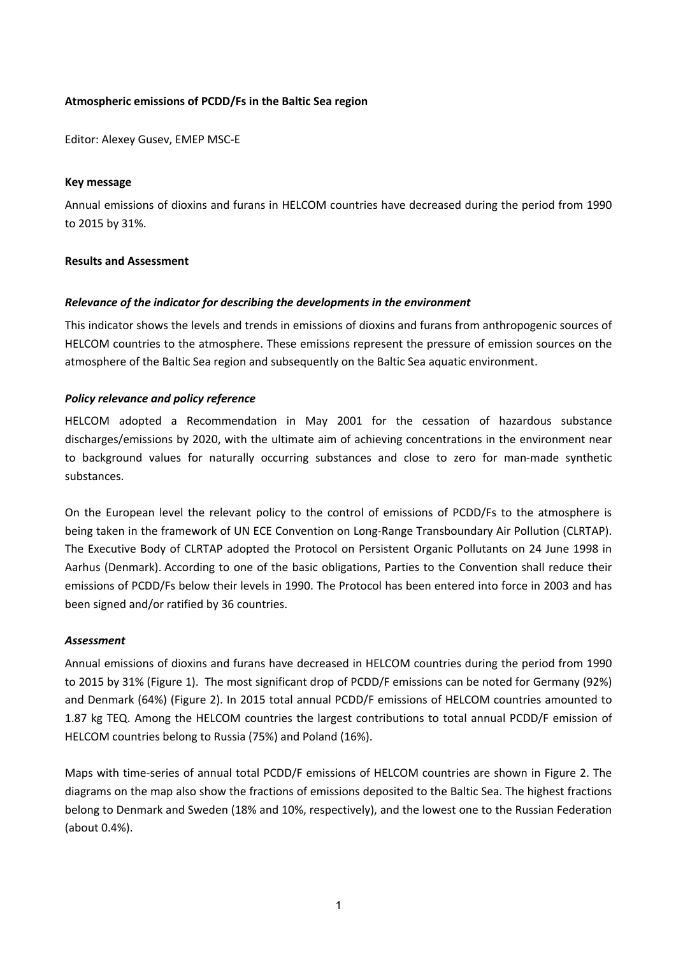# **Atmospheric emissions of PCDD/Fs in the Baltic Sea region**

Editor: Alexey Gusev, EMEP MSC-E

### **Key message**

Annual emissions of dioxins and furans in HELCOM countries have decreased during the period from 1990 to 2015 by 31%.

### **Results and Assessment**

### *Relevance of the indicator for describing the developments in the environment*

This indicator shows the levels and trends in emissions of dioxins and furans from anthropogenic sources of HELCOM countries to the atmosphere. These emissions represent the pressure of emission sources on the atmosphere of the Baltic Sea region and subsequently on the Baltic Sea aquatic environment.

### *Policy relevance and policy reference*

HELCOM adopted a Recommendation in May 2001 for the cessation of hazardous substance discharges/emissions by 2020, with the ultimate aim of achieving concentrations in the environment near to background values for naturally occurring substances and close to zero for man-made synthetic substances.

On the European level the relevant policy to the control of emissions of PCDD/Fs to the atmosphere is being taken in the framework of UN ECE Convention on Long-Range Transboundary Air Pollution (CLRTAP). The Executive Body of CLRTAP adopted the Protocol on Persistent Organic Pollutants on 24 June 1998 in Aarhus (Denmark). According to one of the basic obligations, Parties to the Convention shall reduce their emissions of PCDD/Fs below their levels in 1990. The Protocol has been entered into force in 2003 and has been signed and/or ratified by 36 countries.

#### *Assessment*

Annual emissions of dioxins and furans have decreased in HELCOM countries during the period from 1990 to 2015 by 31% (Figure 1). The most significant drop of PCDD/F emissions can be noted for Germany (92%) and Denmark (64%) (Figure 2). In 2015 total annual PCDD/F emissions of HELCOM countries amounted to 1.87 kg TEQ. Among the HELCOM countries the largest contributions to total annual PCDD/F emission of HELCOM countries belong to Russia (75%) and Poland (16%).

Maps with time-series of annual total PCDD/F emissions of HELCOM countries are shown in Figure 2. The diagrams on the map also show the fractions of emissions deposited to the Baltic Sea. The highest fractions belong to Denmark and Sweden (18% and 10%, respectively), and the lowest one to the Russian Federation (about 0.4%).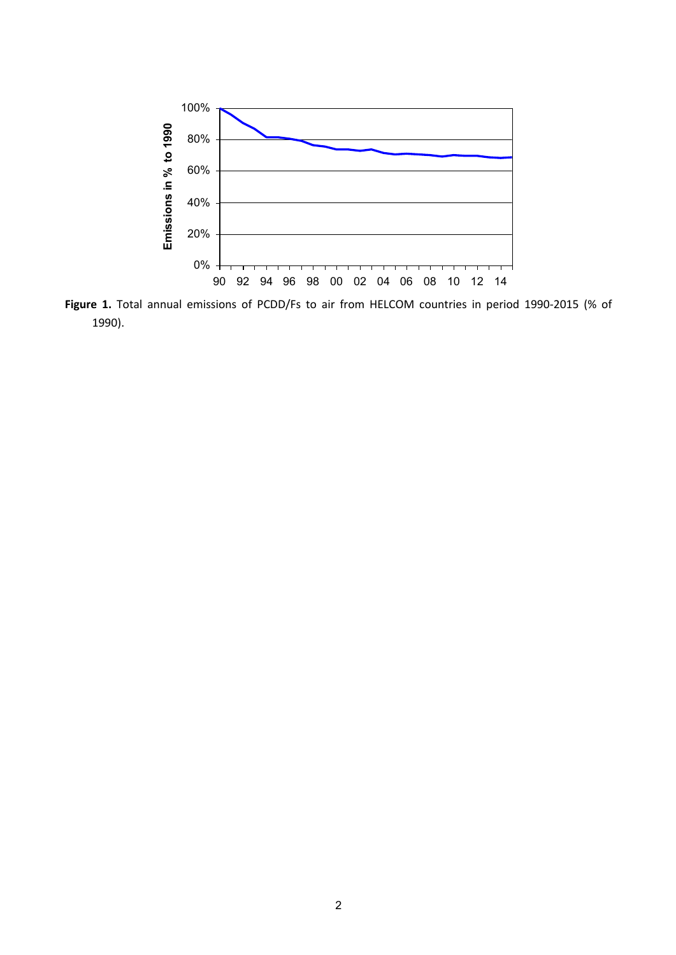

**Figure 1.** Total annual emissions of PCDD/Fs to air from HELCOM countries in period 1990-2015 (% of 1990).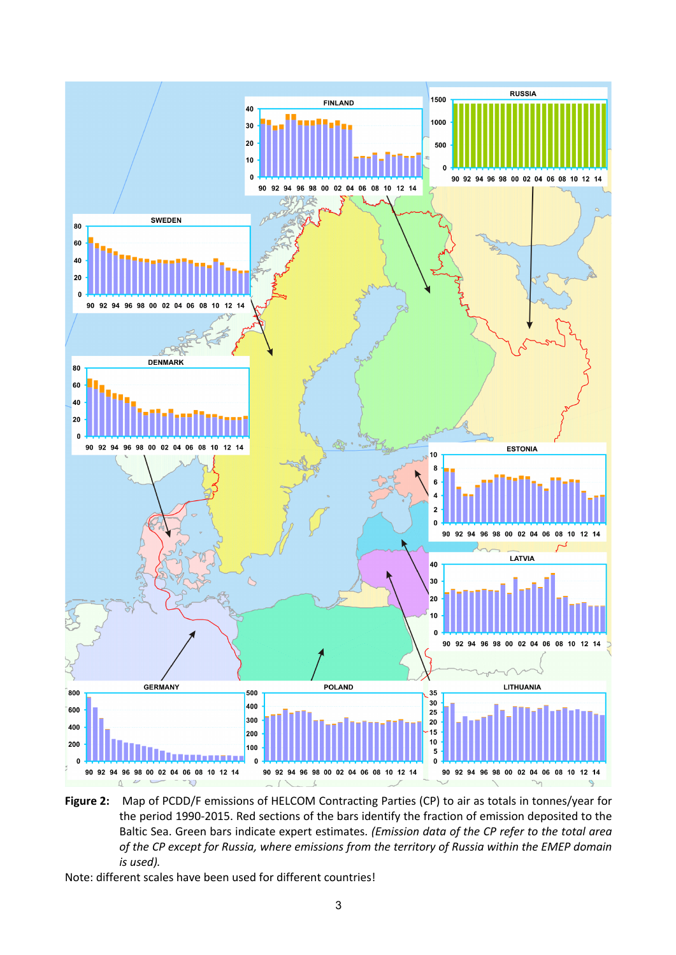

**Figure 2:** Map of PCDD/F emissions of HELCOM Contracting Parties (CP) to air as totals in tonnes/year for the period 1990-2015. Red sections of the bars identify the fraction of emission deposited to the Baltic Sea. Green bars indicate expert estimates. *(Emission data of the CP refer to the total area of the CP except for Russia, where emissions from the territory of Russia within the EMEP domain is used).*

Note: different scales have been used for different countries!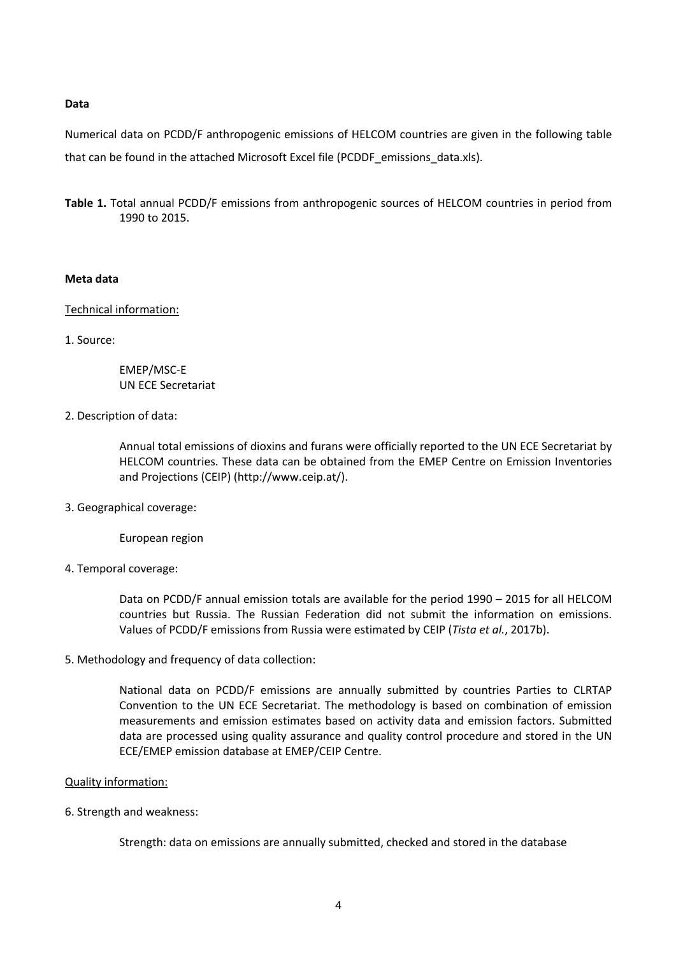### **Data**

Numerical data on PCDD/F anthropogenic emissions of HELCOM countries are given in the following table that can be found in the attached Microsoft Excel file (PCDDF\_emissions\_data.xls).

**Table 1.** Total annual PCDD/F emissions from anthropogenic sources of HELCOM countries in period from 1990 to 2015.

### **Meta data**

### Technical information:

1. Source:

EMEP/MSC-E UN ECE Secretariat

## 2. Description of data:

Annual total emissions of dioxins and furans were officially reported to the UN ECE Secretariat by HELCOM countries. These data can be obtained from the EMEP Centre on Emission Inventories and Projections (CEIP) (http://www.ceip.at/).

3. Geographical coverage:

European region

4. Temporal coverage:

Data on PCDD/F annual emission totals are available for the period 1990 – 2015 for all HELCOM countries but Russia. The Russian Federation did not submit the information on emissions. Values of PCDD/F emissions from Russia were estimated by CEIP (*Tista et al.*, 2017b).

5. Methodology and frequency of data collection:

National data on PCDD/F emissions are annually submitted by countries Parties to CLRTAP Convention to the UN ECE Secretariat. The methodology is based on combination of emission measurements and emission estimates based on activity data and emission factors. Submitted data are processed using quality assurance and quality control procedure and stored in the UN ECE/EMEP emission database at EMEP/CEIP Centre.

## Quality information:

6. Strength and weakness:

Strength: data on emissions are annually submitted, checked and stored in the database